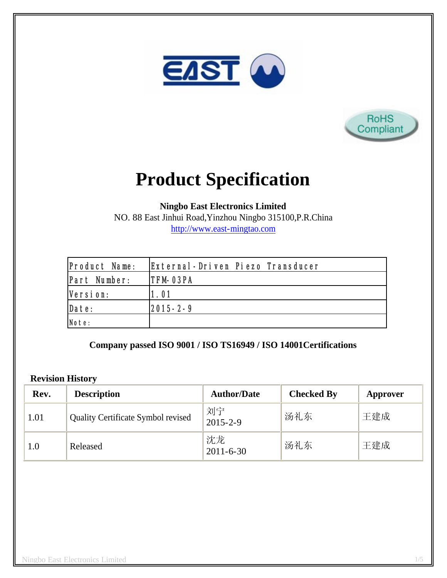



# **Product Specification**

**Ningbo East Electronics Limited**

NO. 88 East Jinhui Road,Yinzhou Ningbo 315100,P.R.China http://www.east-mingtao.com

| <b>Product Name:</b> | External-Driven Piezo Transducer |
|----------------------|----------------------------------|
| Part Number:         | <b>ITFM-03PA</b>                 |
| Version:             | 1.01                             |
| Date:                | $ 2015 - 2 - 9 $                 |
| Note:                |                                  |

**Company passed ISO 9001 / ISO TS16949 / ISO 14001Certifications**

#### **Revision History**

| Rev. | <b>Description</b>                        | <b>Author/Date</b>    | <b>Checked By</b> | Approver |
|------|-------------------------------------------|-----------------------|-------------------|----------|
| 1.01 | <b>Quality Certificate Symbol revised</b> | 刘宁<br>$2015 - 2 - 9$  | 汤礼东               | 王建成      |
| 1.0  | Released                                  | 沈龙<br>$2011 - 6 - 30$ | 汤礼东               | 王建成      |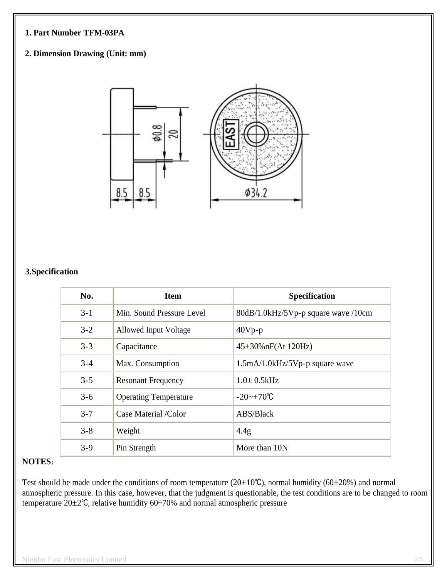#### **1. Part Number TFM-03PA**

## **2. Dimension Drawing (Unit: mm)**



## **3.Specification**

| No.     | <b>Item</b>                  | <b>Specification</b>                |
|---------|------------------------------|-------------------------------------|
| $3 - 1$ | Min. Sound Pressure Level    | 80dB/1.0kHz/5Vp-p square wave /10cm |
| $3 - 2$ | Allowed Input Voltage        | $40Vp-p$                            |
| $3 - 3$ | Capacitance                  | $45\pm30\%$ nF(At 120Hz)            |
| $3 - 4$ | Max. Consumption             | $1.5mA/1.0kHz/5Vp-p$ square wave    |
| $3 - 5$ | <b>Resonant Frequency</b>    | $1.0 \pm 0.5$ kHz                   |
| $3 - 6$ | <b>Operating Temperature</b> | $-20$ ~ $+70^{\circ}$ C             |
| $3 - 7$ | Case Material /Color         | ABS/Black                           |
| $3 - 8$ | Weight                       | 4.4g                                |
| $3 - 9$ | Pin Strength                 | More than 10N                       |

#### **NOTES**:

Test should be made under the conditions of room temperature ( $20\pm10^{\circ}$ C), normal humidity ( $60\pm20^{\circ}$ ) and normal atmospheric pressure. In this case, however, that the judgment is questionable, the test conditions are to be changed to room temperature 20±2℃, relative humidity 60~70% and normal atmospheric pressure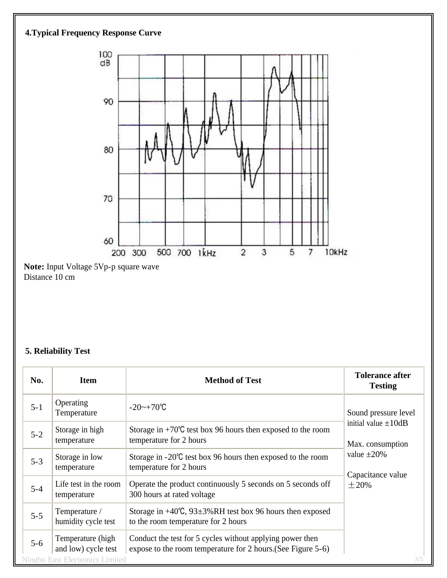

## **5. Reliability Test**

| No.     | <b>Item</b>                                                                        | <b>Method of Test</b>                                                                                                     | <b>Tolerance after</b><br><b>Testing</b>                                                             |  |
|---------|------------------------------------------------------------------------------------|---------------------------------------------------------------------------------------------------------------------------|------------------------------------------------------------------------------------------------------|--|
| $5 - 1$ | Operating<br>Temperature                                                           | $-20$ ~ $+70^{\circ}$ C                                                                                                   | Sound pressure level                                                                                 |  |
| $5 - 2$ | Storage in high<br>temperature                                                     | Storage in $+70^{\circ}$ C test box 96 hours then exposed to the room<br>temperature for 2 hours                          | initial value $\pm 10$ dB<br>Max. consumption<br>value $\pm 20\%$<br>Capacitance value<br>$\pm 20\%$ |  |
| $5 - 3$ | Storage in low<br>temperature                                                      | Storage in $-20^{\circ}$ C test box 96 hours then exposed to the room<br>temperature for 2 hours                          |                                                                                                      |  |
| $5 - 4$ | Life test in the room<br>temperature                                               | Operate the product continuously 5 seconds on 5 seconds off<br>300 hours at rated voltage                                 |                                                                                                      |  |
| $5 - 5$ | Temperature /<br>humidity cycle test                                               | Storage in $+40^{\circ}$ C, 93 $\pm$ 3%RH test box 96 hours then exposed<br>to the room temperature for 2 hours           |                                                                                                      |  |
| $5 - 6$ | Temperature (high<br>and low) cycle test<br><b>Ningbo East Electronics Limited</b> | Conduct the test for 5 cycles without applying power then<br>expose to the room temperature for 2 hours. (See Figure 5-6) | 3/5                                                                                                  |  |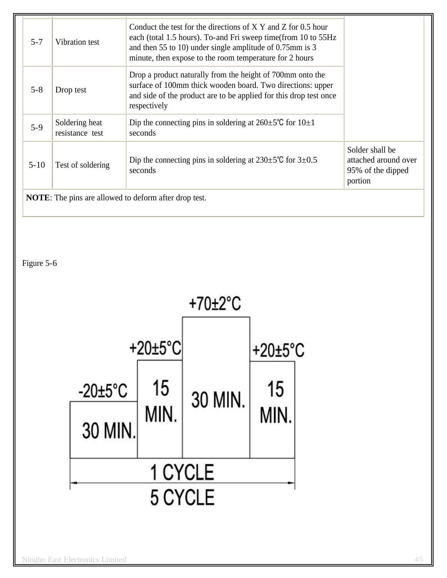| Drop a product naturally from the height of 700mm onto the<br>surface of 100mm thick wooden board. Two directions: upper<br>$5 - 8$<br>Drop test<br>and side of the product are to be applied for this drop test once<br>respectively<br>Dip the connecting pins in soldering at $260 \pm 5^{\circ}$ C for $10 \pm 1$<br>Soldering heat<br>$5-9$<br>resistance test<br>seconds<br>Solder shall be<br>Dip the connecting pins in soldering at $230 \pm 5^{\circ}$ C for $3 \pm 0.5^{\circ}$<br>$5 - 10$<br>Test of soldering<br>seconds | $5 - 7$ | Vibration test | Conduct the test for the directions of $X$ Y and Z for 0.5 hour<br>each (total 1.5 hours). To-and Fri sweep time (from 10 to 55Hz<br>and then 55 to 10) under single amplitude of 0.75mm is 3<br>minute, then expose to the room temperature for 2 hours |                                           |
|----------------------------------------------------------------------------------------------------------------------------------------------------------------------------------------------------------------------------------------------------------------------------------------------------------------------------------------------------------------------------------------------------------------------------------------------------------------------------------------------------------------------------------------|---------|----------------|----------------------------------------------------------------------------------------------------------------------------------------------------------------------------------------------------------------------------------------------------------|-------------------------------------------|
|                                                                                                                                                                                                                                                                                                                                                                                                                                                                                                                                        |         |                |                                                                                                                                                                                                                                                          |                                           |
|                                                                                                                                                                                                                                                                                                                                                                                                                                                                                                                                        |         |                |                                                                                                                                                                                                                                                          |                                           |
| portion                                                                                                                                                                                                                                                                                                                                                                                                                                                                                                                                |         |                |                                                                                                                                                                                                                                                          | attached around over<br>95% of the dipped |

**NOTE**: The pins are allowed to deform after drop test.

Figure 5-6